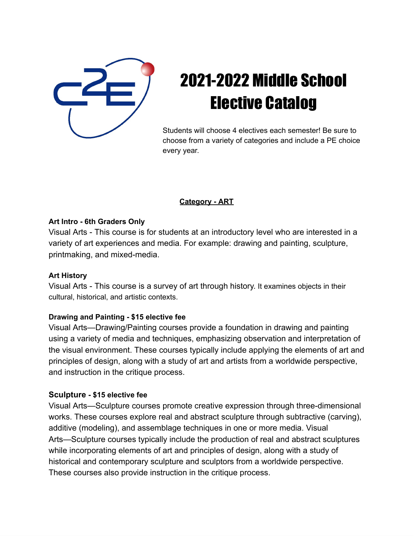

# 2021-2022 Middle School Elective Catalog

Students will choose 4 electives each semester! Be sure to choose from a variety of categories and include a PE choice every year.

## **Category - ART**

## **Art Intro - 6th Graders Only**

Visual Arts - This course is for students at an introductory level who are interested in a variety of art experiences and media. For example: drawing and painting, sculpture, printmaking, and mixed-media.

## **Art History**

Visual Arts - This course is a survey of art through history. It examines objects in their cultural, historical, and artistic contexts.

## **Drawing and Painting - \$15 elective fee**

Visual Arts—Drawing/Painting courses provide a foundation in drawing and painting using a variety of media and techniques, emphasizing observation and interpretation of the visual environment. These courses typically include applying the elements of art and principles of design, along with a study of art and artists from a worldwide perspective, and instruction in the critique process.

## **Sculpture - \$15 elective fee**

Visual Arts—Sculpture courses promote creative expression through three-dimensional works. These courses explore real and abstract sculpture through subtractive (carving), additive (modeling), and assemblage techniques in one or more media. Visual Arts—Sculpture courses typically include the production of real and abstract sculptures while incorporating elements of art and principles of design, along with a study of historical and contemporary sculpture and sculptors from a worldwide perspective. These courses also provide instruction in the critique process.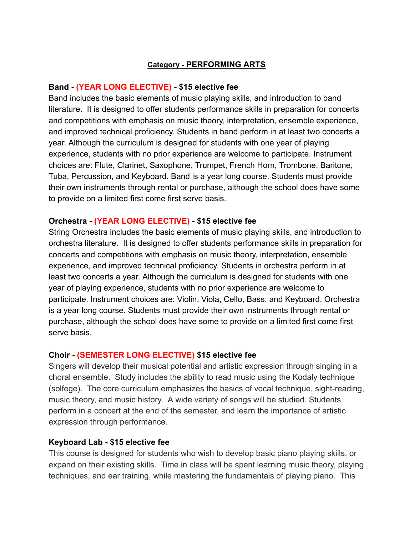#### **Category - PERFORMING ARTS**

#### **Band - (YEAR LONG ELECTIVE) - \$15 elective fee**

Band includes the basic elements of music playing skills, and introduction to band literature. It is designed to offer students performance skills in preparation for concerts and competitions with emphasis on music theory, interpretation, ensemble experience, and improved technical proficiency. Students in band perform in at least two concerts a year. Although the curriculum is designed for students with one year of playing experience, students with no prior experience are welcome to participate. Instrument choices are: Flute, Clarinet, Saxophone, Trumpet, French Horn, Trombone, Baritone, Tuba, Percussion, and Keyboard. Band is a year long course. Students must provide their own instruments through rental or purchase, although the school does have some to provide on a limited first come first serve basis.

#### **Orchestra - (YEAR LONG ELECTIVE) - \$15 elective fee**

String Orchestra includes the basic elements of music playing skills, and introduction to orchestra literature. It is designed to offer students performance skills in preparation for concerts and competitions with emphasis on music theory, interpretation, ensemble experience, and improved technical proficiency. Students in orchestra perform in at least two concerts a year. Although the curriculum is designed for students with one year of playing experience, students with no prior experience are welcome to participate. Instrument choices are: Violin, Viola, Cello, Bass, and Keyboard. Orchestra is a year long course. Students must provide their own instruments through rental or purchase, although the school does have some to provide on a limited first come first serve basis.

#### **Choir - (SEMESTER LONG ELECTIVE) \$15 elective fee**

Singers will develop their musical potential and artistic expression through singing in a choral ensemble. Study includes the ability to read music using the Kodaly technique (solfege). The core curriculum emphasizes the basics of vocal technique, sight-reading, music theory, and music history. A wide variety of songs will be studied. Students perform in a concert at the end of the semester, and learn the importance of artistic expression through performance.

#### **Keyboard Lab - \$15 elective fee**

This course is designed for students who wish to develop basic piano playing skills, or expand on their existing skills. Time in class will be spent learning music theory, playing techniques, and ear training, while mastering the fundamentals of playing piano. This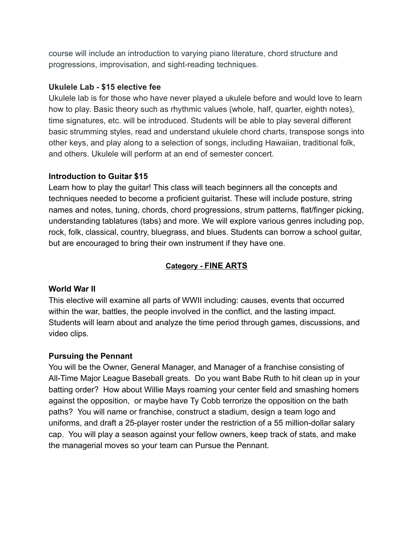course will include an introduction to varying piano literature, chord structure and progressions, improvisation, and sight-reading techniques.

#### **Ukulele Lab - \$15 elective fee**

Ukulele lab is for those who have never played a ukulele before and would love to learn how to play. Basic theory such as rhythmic values (whole, half, quarter, eighth notes), time signatures, etc. will be introduced. Students will be able to play several different basic strumming styles, read and understand ukulele chord charts, transpose songs into other keys, and play along to a selection of songs, including Hawaiian, traditional folk, and others. Ukulele will perform at an end of semester concert.

#### **Introduction to Guitar \$15**

Learn how to play the guitar! This class will teach beginners all the concepts and techniques needed to become a proficient guitarist. These will include posture, string names and notes, tuning, chords, chord progressions, strum patterns, flat/finger picking, understanding tablatures (tabs) and more. We will explore various genres including pop, rock, folk, classical, country, bluegrass, and blues. Students can borrow a school guitar, but are encouraged to bring their own instrument if they have one.

## **Category - FINE ARTS**

## **World War II**

This elective will examine all parts of WWII including: causes, events that occurred within the war, battles, the people involved in the conflict, and the lasting impact. Students will learn about and analyze the time period through games, discussions, and video clips.

## **Pursuing the Pennant**

You will be the Owner, General Manager, and Manager of a franchise consisting of All-Time Major League Baseball greats. Do you want Babe Ruth to hit clean up in your batting order? How about Willie Mays roaming your center field and smashing homers against the opposition, or maybe have Ty Cobb terrorize the opposition on the bath paths? You will name or franchise, construct a stadium, design a team logo and uniforms, and draft a 25-player roster under the restriction of a 55 million-dollar salary cap. You will play a season against your fellow owners, keep track of stats, and make the managerial moves so your team can Pursue the Pennant.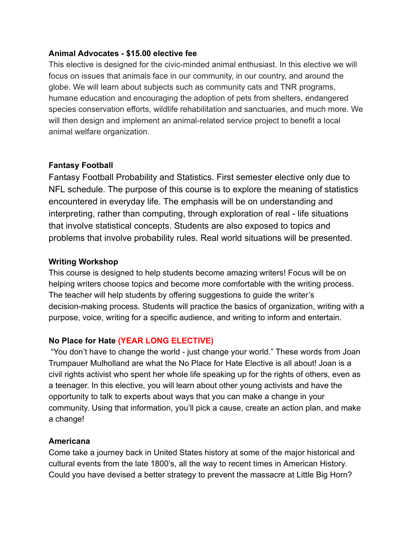#### **Animal Advocates - \$15.00 elective fee**

This elective is designed for the civic-minded animal enthusiast. In this elective we will focus on issues that animals face in our community, in our country, and around the globe. We will learn about subjects such as community cats and TNR programs, humane education and encouraging the adoption of pets from shelters, endangered species conservation efforts, wildlife rehabilitation and sanctuaries, and much more. We will then design and implement an animal-related service project to benefit a local animal welfare organization.

## **Fantasy Football**

Fantasy Football Probability and Statistics. First semester elective only due to NFL schedule. The purpose of this course is to explore the meaning of statistics encountered in everyday life. The emphasis will be on understanding and interpreting, rather than computing, through exploration of real - life situations that involve statistical concepts. Students are also exposed to topics and problems that involve probability rules. Real world situations will be presented.

## **Writing Workshop**

This course is designed to help students become amazing writers! Focus will be on helping writers choose topics and become more comfortable with the writing process. The teacher will help students by offering suggestions to guide the writer's decision-making process. Students will practice the basics of organization, writing with a purpose, voice, writing for a specific audience, and writing to inform and entertain.

# **No Place for Hate (YEAR LONG ELECTIVE)**

"You don't have to change the world - just change your world." These words from Joan Trumpauer Mulholland are what the No Place for Hate Elective is all about! Joan is a civil rights activist who spent her whole life speaking up for the rights of others, even as a teenager. In this elective, you will learn about other young activists and have the opportunity to talk to experts about ways that you can make a change in your community. Using that information, you'll pick a cause, create an action plan, and make a change!

## **Americana**

Come take a journey back in United States history at some of the major historical and cultural events from the late 1800's, all the way to recent times in American History. Could you have devised a better strategy to prevent the massacre at Little Big Horn?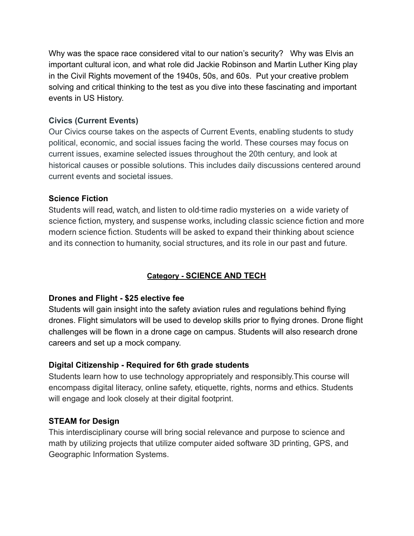Why was the space race considered vital to our nation's security? Why was Elvis an important cultural icon, and what role did Jackie Robinson and Martin Luther King play in the Civil Rights movement of the 1940s, 50s, and 60s. Put your creative problem solving and critical thinking to the test as you dive into these fascinating and important events in US History.

## **Civics (Current Events)**

Our Civics course takes on the aspects of Current Events, enabling students to study political, economic, and social issues facing the world. These courses may focus on current issues, examine selected issues throughout the 20th century, and look at historical causes or possible solutions. This includes daily discussions centered around current events and societal issues.

## **Science Fiction**

Students will read, watch, and listen to old-time radio mysteries on a wide variety of science fiction, mystery, and suspense works, including classic science fiction and more modern science fiction. Students will be asked to expand their thinking about science and its connection to humanity, social structures, and its role in our past and future.

# **Category - SCIENCE AND TECH**

## **Drones and Flight - \$25 elective fee**

Students will gain insight into the safety aviation rules and regulations behind flying drones. Flight simulators will be used to develop skills prior to flying drones. Drone flight challenges will be flown in a drone cage on campus. Students will also research drone careers and set up a mock company.

## **Digital Citizenship - Required for 6th grade students**

Students learn how to use technology appropriately and responsibly.This course will encompass digital literacy, online safety, etiquette, rights, norms and ethics. Students will engage and look closely at their digital footprint.

# **STEAM for Design**

This interdisciplinary course will bring social relevance and purpose to science and math by utilizing projects that utilize computer aided software 3D printing, GPS, and Geographic Information Systems.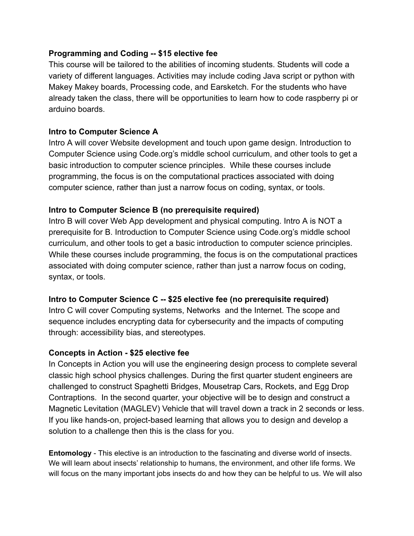## **Programming and Coding -- \$15 elective fee**

This course will be tailored to the abilities of incoming students. Students will code a variety of different languages. Activities may include coding Java script or python with Makey Makey boards, Processing code, and Earsketch. For the students who have already taken the class, there will be opportunities to learn how to code raspberry pi or arduino boards.

#### **Intro to Computer Science A**

Intro A will cover Website development and touch upon game design. Introduction to Computer Science using Code.org's middle school curriculum, and other tools to get a basic introduction to computer science principles. While these courses include programming, the focus is on the computational practices associated with doing computer science, rather than just a narrow focus on coding, syntax, or tools.

## **Intro to Computer Science B (no prerequisite required)**

Intro B will cover Web App development and physical computing. Intro A is NOT a prerequisite for B. Introduction to Computer Science using Code.org's middle school curriculum, and other tools to get a basic introduction to computer science principles. While these courses include programming, the focus is on the computational practices associated with doing computer science, rather than just a narrow focus on coding, syntax, or tools.

## **Intro to Computer Science C -- \$25 elective fee (no prerequisite required)**

Intro C will cover Computing systems, Networks and the Internet. The scope and sequence includes encrypting data for cybersecurity and the impacts of computing through: accessibility bias, and stereotypes.

## **Concepts in Action - \$25 elective fee**

In Concepts in Action you will use the engineering design process to complete several classic high school physics challenges. During the first quarter student engineers are challenged to construct Spaghetti Bridges, Mousetrap Cars, Rockets, and Egg Drop Contraptions. In the second quarter, your objective will be to design and construct a Magnetic Levitation (MAGLEV) Vehicle that will travel down a track in 2 seconds or less. If you like hands-on, project-based learning that allows you to design and develop a solution to a challenge then this is the class for you.

**Entomology** - This elective is an introduction to the fascinating and diverse world of insects. We will learn about insects' relationship to humans, the environment, and other life forms. We will focus on the many important jobs insects do and how they can be helpful to us. We will also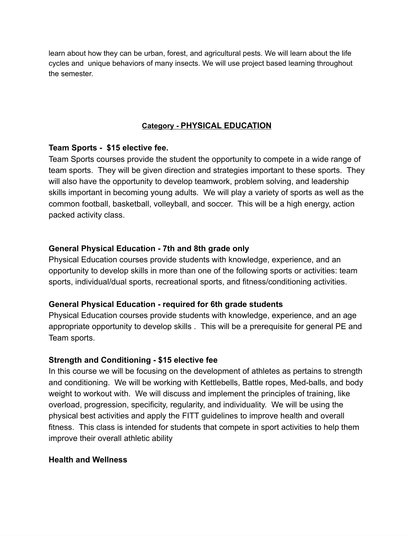learn about how they can be urban, forest, and agricultural pests. We will learn about the life cycles and unique behaviors of many insects. We will use project based learning throughout the semester.

## **Category - PHYSICAL EDUCATION**

## **Team Sports - \$15 elective fee.**

Team Sports courses provide the student the opportunity to compete in a wide range of team sports. They will be given direction and strategies important to these sports. They will also have the opportunity to develop teamwork, problem solving, and leadership skills important in becoming young adults. We will play a variety of sports as well as the common football, basketball, volleyball, and soccer. This will be a high energy, action packed activity class.

## **General Physical Education - 7th and 8th grade only**

Physical Education courses provide students with knowledge, experience, and an opportunity to develop skills in more than one of the following sports or activities: team sports, individual/dual sports, recreational sports, and fitness/conditioning activities.

## **General Physical Education - required for 6th grade students**

Physical Education courses provide students with knowledge, experience, and an age appropriate opportunity to develop skills . This will be a prerequisite for general PE and Team sports.

## **Strength and Conditioning - \$15 elective fee**

In this course we will be focusing on the development of athletes as pertains to strength and conditioning. We will be working with Kettlebells, Battle ropes, Med-balls, and body weight to workout with. We will discuss and implement the principles of training, like overload, progression, specificity, regularity, and individuality. We will be using the physical best activities and apply the FITT guidelines to improve health and overall fitness. This class is intended for students that compete in sport activities to help them improve their overall athletic ability

#### **Health and Wellness**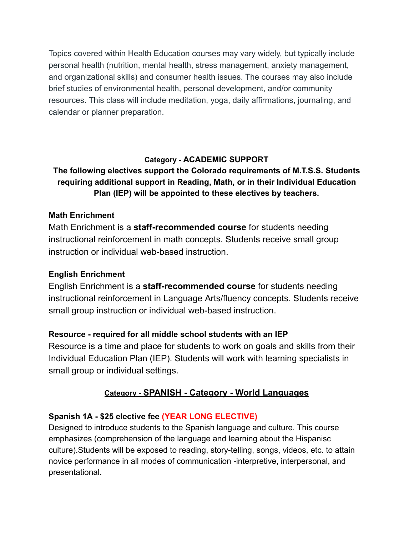Topics covered within Health Education courses may vary widely, but typically include personal health (nutrition, mental health, stress management, anxiety management, and organizational skills) and consumer health issues. The courses may also include brief studies of environmental health, personal development, and/or community resources. This class will include meditation, yoga, daily affirmations, journaling, and calendar or planner preparation.

# **Category - ACADEMIC SUPPORT**

# **The following electives support the Colorado requirements of M.T.S.S. Students requiring additional support in Reading, Math, or in their Individual Education Plan (IEP) will be appointed to these electives by teachers.**

## **Math Enrichment**

Math Enrichment is a **staff-recommended course** for students needing instructional reinforcement in math concepts. Students receive small group instruction or individual web-based instruction.

# **English Enrichment**

English Enrichment is a **staff-recommended course** for students needing instructional reinforcement in Language Arts/fluency concepts. Students receive small group instruction or individual web-based instruction.

# **Resource - required for all middle school students with an IEP**

Resource is a time and place for students to work on goals and skills from their Individual Education Plan (IEP). Students will work with learning specialists in small group or individual settings.

# **Category - SPANISH - Category - World Languages**

# **Spanish 1A - \$25 elective fee (YEAR LONG ELECTIVE)**

Designed to introduce students to the Spanish language and culture. This course emphasizes (comprehension of the language and learning about the Hispanisc culture).Students will be exposed to reading, story-telling, songs, videos, etc. to attain novice performance in all modes of communication -interpretive, interpersonal, and presentational.